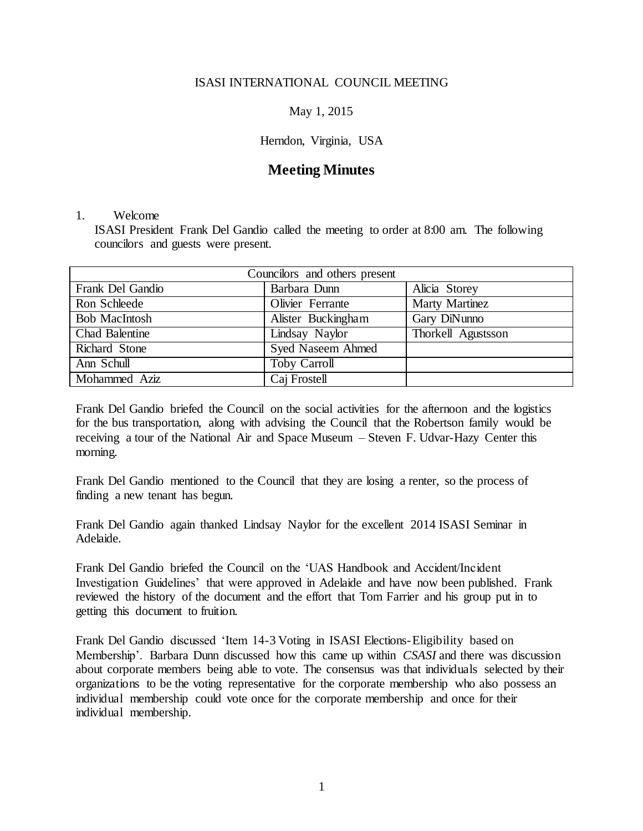### ISASI INTERNATIONAL COUNCIL MEETING

# May 1, 2015

# Herndon, Virginia, USA

# **Meeting Minutes**

#### 1. Welcome

ISASI President Frank Del Gandio called the meeting to order at 8:00 am. The following councilors and guests were present.

| Councilors and others present |                          |                    |
|-------------------------------|--------------------------|--------------------|
| Frank Del Gandio              | Barbara Dunn             | Alicia Storey      |
| Ron Schleede                  | Olivier Ferrante         | Marty Martinez     |
| <b>Bob MacIntosh</b>          | Alister Buckingham       | Gary DiNunno       |
| <b>Chad Balentine</b>         | Lindsay Naylor           | Thorkell Agustsson |
| Richard Stone                 | <b>Syed Naseem Ahmed</b> |                    |
| Ann Schull                    | <b>Toby Carroll</b>      |                    |
| Mohammed Aziz                 | Caj Frostell             |                    |

Frank Del Gandio briefed the Council on the social activities for the afternoon and the logistics for the bus transportation, along with advising the Council that the Robertson family would be receiving a tour of the National Air and Space Museum – Steven F. Udvar-Hazy Center this morning.

Frank Del Gandio mentioned to the Council that they are losing a renter, so the process of finding a new tenant has begun.

Frank Del Gandio again thanked Lindsay Naylor for the excellent 2014 ISASI Seminar in Adelaide.

Frank Del Gandio briefed the Council on the 'UAS Handbook and Accident/Incident Investigation Guidelines' that were approved in Adelaide and have now been published. Frank reviewed the history of the document and the effort that Tom Farrier and his group put in to getting this document to fruition.

Frank Del Gandio discussed 'Item 14-3 Voting in ISASI Elections-Eligibility based on Membership'. Barbara Dunn discussed how this came up within *CSASI* and there was discussion about corporate members being able to vote. The consensus was that individuals selected by their organizations to be the voting representative for the corporate membership who also possess an individual membership could vote once for the corporate membership and once for their individual membership.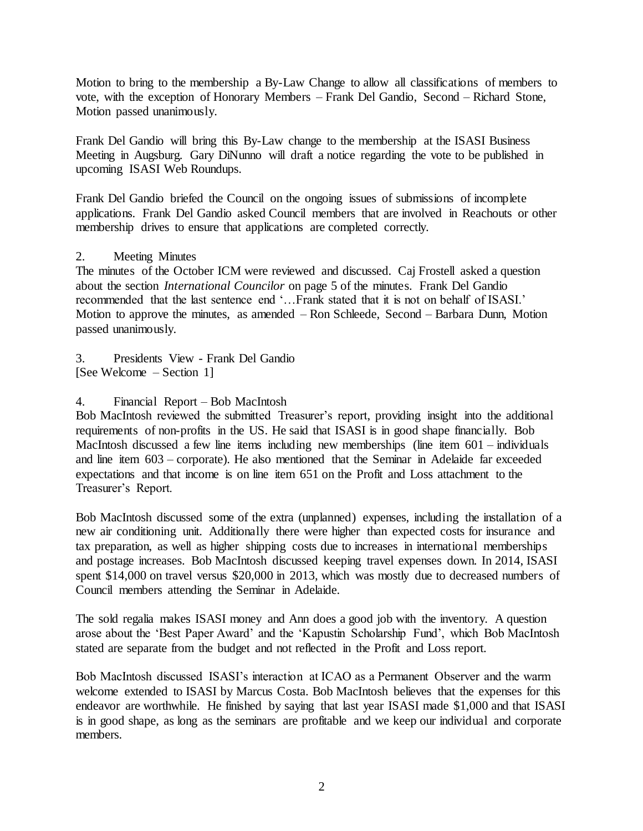Motion to bring to the membership a By-Law Change to allow all classifications of members to vote, with the exception of Honorary Members – Frank Del Gandio, Second – Richard Stone, Motion passed unanimously.

Frank Del Gandio will bring this By-Law change to the membership at the ISASI Business Meeting in Augsburg. Gary DiNunno will draft a notice regarding the vote to be published in upcoming ISASI Web Roundups.

Frank Del Gandio briefed the Council on the ongoing issues of submissions of incomplete applications. Frank Del Gandio asked Council members that are involved in Reachouts or other membership drives to ensure that applications are completed correctly.

### 2. Meeting Minutes

The minutes of the October ICM were reviewed and discussed. Caj Frostell asked a question about the section *International Councilor* on page 5 of the minutes. Frank Del Gandio recommended that the last sentence end '…Frank stated that it is not on behalf of ISASI.' Motion to approve the minutes, as amended – Ron Schleede, Second – Barbara Dunn, Motion passed unanimously.

3. Presidents View - Frank Del Gandio [See Welcome – Section 1]

### 4. Financial Report – Bob MacIntosh

Bob MacIntosh reviewed the submitted Treasurer's report, providing insight into the additional requirements of non-profits in the US. He said that ISASI is in good shape financially. Bob MacIntosh discussed a few line items including new memberships (line item 601 – individuals and line item 603 – corporate). He also mentioned that the Seminar in Adelaide far exceeded expectations and that income is on line item 651 on the Profit and Loss attachment to the Treasurer's Report.

Bob MacIntosh discussed some of the extra (unplanned) expenses, including the installation of a new air conditioning unit. Additionally there were higher than expected costs for insurance and tax preparation, as well as higher shipping costs due to increases in international memberships and postage increases. Bob MacIntosh discussed keeping travel expenses down. In 2014, ISASI spent \$14,000 on travel versus \$20,000 in 2013, which was mostly due to decreased numbers of Council members attending the Seminar in Adelaide.

The sold regalia makes ISASI money and Ann does a good job with the inventory. A question arose about the 'Best Paper Award' and the 'Kapustin Scholarship Fund', which Bob MacIntosh stated are separate from the budget and not reflected in the Profit and Loss report.

Bob MacIntosh discussed ISASI's interaction at ICAO as a Permanent Observer and the warm welcome extended to ISASI by Marcus Costa. Bob MacIntosh believes that the expenses for this endeavor are worthwhile. He finished by saying that last year ISASI made \$1,000 and that ISASI is in good shape, as long as the seminars are profitable and we keep our individual and corporate members.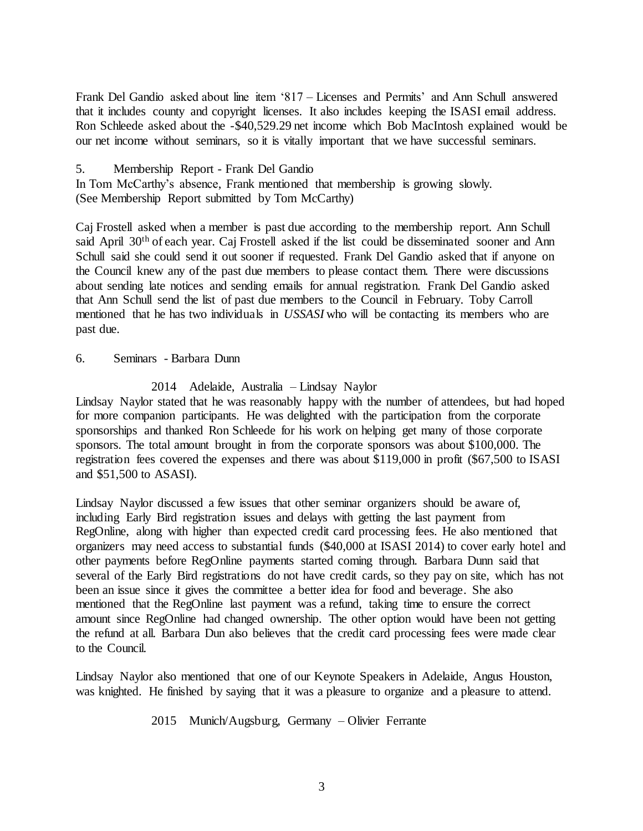Frank Del Gandio asked about line item '817 – Licenses and Permits' and Ann Schull answered that it includes county and copyright licenses. It also includes keeping the ISASI email address. Ron Schleede asked about the -\$40,529.29 net income which Bob MacIntosh explained would be our net income without seminars, so it is vitally important that we have successful seminars.

5. Membership Report - Frank Del Gandio

In Tom McCarthy's absence, Frank mentioned that membership is growing slowly. (See Membership Report submitted by Tom McCarthy)

Caj Frostell asked when a member is past due according to the membership report. Ann Schull said April 30<sup>th</sup> of each year. Caj Frostell asked if the list could be disseminated sooner and Ann Schull said she could send it out sooner if requested. Frank Del Gandio asked that if anyone on the Council knew any of the past due members to please contact them. There were discussions about sending late notices and sending emails for annual registration. Frank Del Gandio asked that Ann Schull send the list of past due members to the Council in February. Toby Carroll mentioned that he has two individuals in *USSASI* who will be contacting its members who are past due.

6. Seminars - Barbara Dunn

2014 Adelaide, Australia – Lindsay Naylor

Lindsay Naylor stated that he was reasonably happy with the number of attendees, but had hoped for more companion participants. He was delighted with the participation from the corporate sponsorships and thanked Ron Schleede for his work on helping get many of those corporate sponsors. The total amount brought in from the corporate sponsors was about \$100,000. The registration fees covered the expenses and there was about \$119,000 in profit (\$67,500 to ISASI and \$51,500 to ASASI).

Lindsay Naylor discussed a few issues that other seminar organizers should be aware of, including Early Bird registration issues and delays with getting the last payment from RegOnline, along with higher than expected credit card processing fees. He also mentioned that organizers may need access to substantial funds (\$40,000 at ISASI 2014) to cover early hotel and other payments before RegOnline payments started coming through. Barbara Dunn said that several of the Early Bird registrations do not have credit cards, so they pay on site, which has not been an issue since it gives the committee a better idea for food and beverage. She also mentioned that the RegOnline last payment was a refund, taking time to ensure the correct amount since RegOnline had changed ownership. The other option would have been not getting the refund at all. Barbara Dun also believes that the credit card processing fees were made clear to the Council.

Lindsay Naylor also mentioned that one of our Keynote Speakers in Adelaide, Angus Houston, was knighted. He finished by saying that it was a pleasure to organize and a pleasure to attend.

2015 Munich/Augsburg, Germany – Olivier Ferrante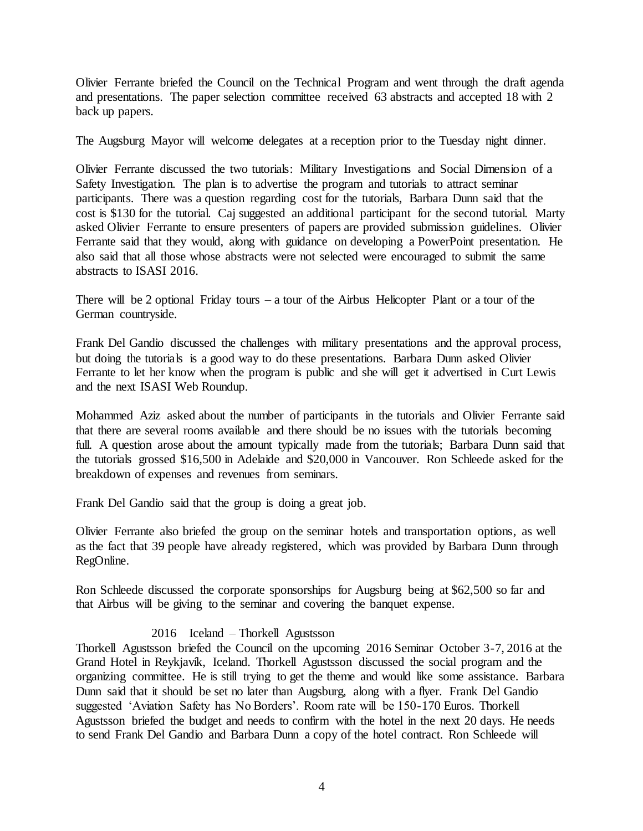Olivier Ferrante briefed the Council on the Technical Program and went through the draft agenda and presentations. The paper selection committee received 63 abstracts and accepted 18 with 2 back up papers.

The Augsburg Mayor will welcome delegates at a reception prior to the Tuesday night dinner.

Olivier Ferrante discussed the two tutorials: Military Investigations and Social Dimension of a Safety Investigation. The plan is to advertise the program and tutorials to attract seminar participants. There was a question regarding cost for the tutorials, Barbara Dunn said that the cost is \$130 for the tutorial. Caj suggested an additional participant for the second tutorial. Marty asked Olivier Ferrante to ensure presenters of papers are provided submission guidelines. Olivier Ferrante said that they would, along with guidance on developing a PowerPoint presentation. He also said that all those whose abstracts were not selected were encouraged to submit the same abstracts to ISASI 2016.

There will be 2 optional Friday tours – a tour of the Airbus Helicopter Plant or a tour of the German countryside.

Frank Del Gandio discussed the challenges with military presentations and the approval process, but doing the tutorials is a good way to do these presentations. Barbara Dunn asked Olivier Ferrante to let her know when the program is public and she will get it advertised in Curt Lewis and the next ISASI Web Roundup.

Mohammed Aziz asked about the number of participants in the tutorials and Olivier Ferrante said that there are several rooms available and there should be no issues with the tutorials becoming full. A question arose about the amount typically made from the tutorials; Barbara Dunn said that the tutorials grossed \$16,500 in Adelaide and \$20,000 in Vancouver. Ron Schleede asked for the breakdown of expenses and revenues from seminars.

Frank Del Gandio said that the group is doing a great job.

Olivier Ferrante also briefed the group on the seminar hotels and transportation options, as well as the fact that 39 people have already registered, which was provided by Barbara Dunn through RegOnline.

Ron Schleede discussed the corporate sponsorships for Augsburg being at \$62,500 so far and that Airbus will be giving to the seminar and covering the banquet expense.

### 2016 Iceland – Thorkell Agustsson

Thorkell Agustsson briefed the Council on the upcoming 2016 Seminar October 3-7, 2016 at the Grand Hotel in Reykjavík, Iceland. Thorkell Agustsson discussed the social program and the organizing committee. He is still trying to get the theme and would like some assistance. Barbara Dunn said that it should be set no later than Augsburg, along with a flyer. Frank Del Gandio suggested 'Aviation Safety has No Borders'. Room rate will be 150-170 Euros. Thorkell Agustsson briefed the budget and needs to confirm with the hotel in the next 20 days. He needs to send Frank Del Gandio and Barbara Dunn a copy of the hotel contract. Ron Schleede will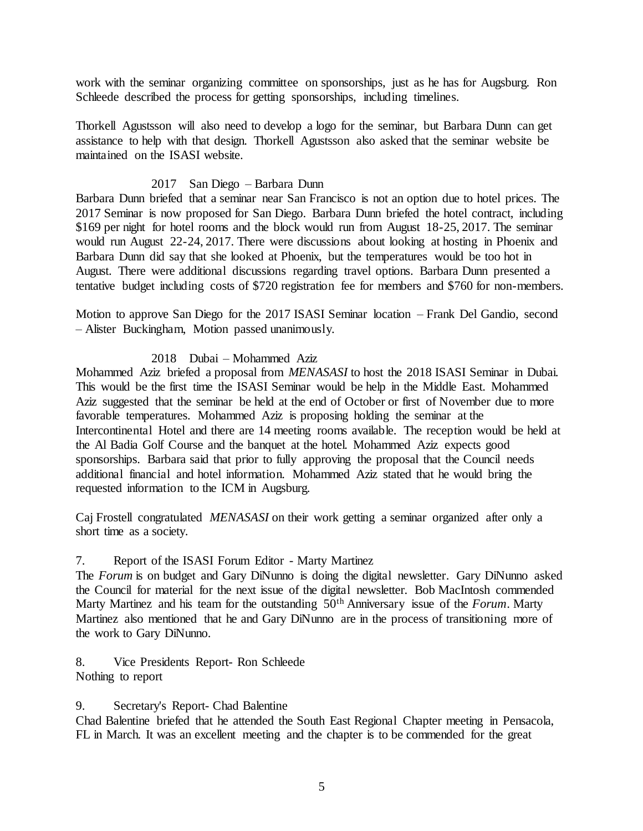work with the seminar organizing committee on sponsorships, just as he has for Augsburg. Ron Schleede described the process for getting sponsorships, including timelines.

Thorkell Agustsson will also need to develop a logo for the seminar, but Barbara Dunn can get assistance to help with that design. Thorkell Agustsson also asked that the seminar website be maintained on the ISASI website.

# 2017 San Diego – Barbara Dunn

Barbara Dunn briefed that a seminar near San Francisco is not an option due to hotel prices. The 2017 Seminar is now proposed for San Diego. Barbara Dunn briefed the hotel contract, including \$169 per night for hotel rooms and the block would run from August 18-25, 2017. The seminar would run August 22-24, 2017. There were discussions about looking at hosting in Phoenix and Barbara Dunn did say that she looked at Phoenix, but the temperatures would be too hot in August. There were additional discussions regarding travel options. Barbara Dunn presented a tentative budget including costs of \$720 registration fee for members and \$760 for non-members.

Motion to approve San Diego for the 2017 ISASI Seminar location – Frank Del Gandio, second – Alister Buckingham, Motion passed unanimously.

### 2018 Dubai – Mohammed Aziz

Mohammed Aziz briefed a proposal from *MENASASI* to host the 2018 ISASI Seminar in Dubai. This would be the first time the ISASI Seminar would be help in the Middle East. Mohammed Aziz suggested that the seminar be held at the end of October or first of November due to more favorable temperatures. Mohammed Aziz is proposing holding the seminar at the Intercontinental Hotel and there are 14 meeting rooms available. The reception would be held at the Al Badia Golf Course and the banquet at the hotel. Mohammed Aziz expects good sponsorships. Barbara said that prior to fully approving the proposal that the Council needs additional financial and hotel information. Mohammed Aziz stated that he would bring the requested information to the ICM in Augsburg.

Caj Frostell congratulated *MENASASI* on their work getting a seminar organized after only a short time as a society.

### 7. Report of the ISASI Forum Editor - Marty Martinez

The *Forum* is on budget and Gary DiNunno is doing the digital newsletter. Gary DiNunno asked the Council for material for the next issue of the digital newsletter. Bob MacIntosh commended Marty Martinez and his team for the outstanding 50th Anniversary issue of the *Forum*. Marty Martinez also mentioned that he and Gary DiNunno are in the process of transitioning more of the work to Gary DiNunno.

8. Vice Presidents Report- Ron Schleede Nothing to report

9. Secretary's Report- Chad Balentine

Chad Balentine briefed that he attended the South East Regional Chapter meeting in Pensacola, FL in March. It was an excellent meeting and the chapter is to be commended for the great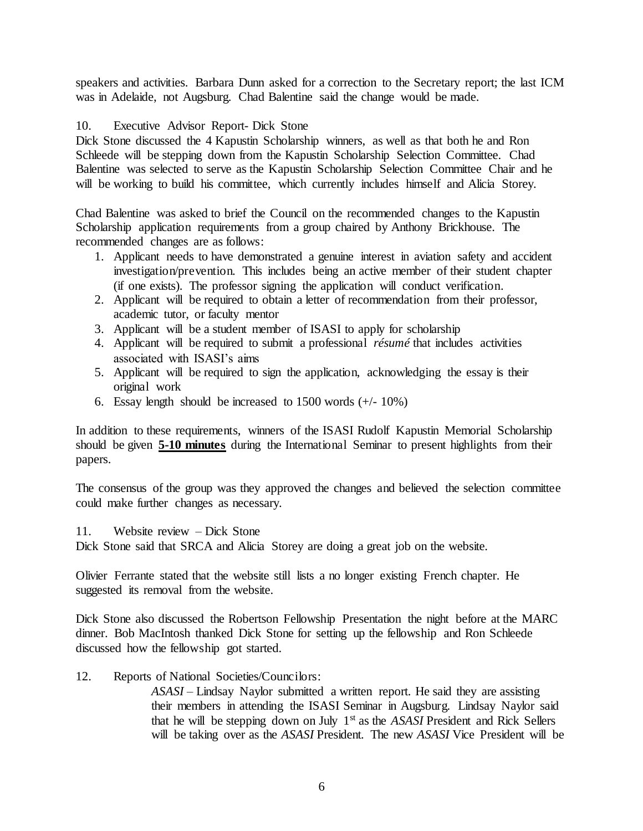speakers and activities. Barbara Dunn asked for a correction to the Secretary report; the last ICM was in Adelaide, not Augsburg. Chad Balentine said the change would be made.

### 10. Executive Advisor Report- Dick Stone

Dick Stone discussed the 4 Kapustin Scholarship winners, as well as that both he and Ron Schleede will be stepping down from the Kapustin Scholarship Selection Committee. Chad Balentine was selected to serve as the Kapustin Scholarship Selection Committee Chair and he will be working to build his committee, which currently includes himself and Alicia Storey.

Chad Balentine was asked to brief the Council on the recommended changes to the Kapustin Scholarship application requirements from a group chaired by Anthony Brickhouse. The recommended changes are as follows:

- 1. Applicant needs to have demonstrated a genuine interest in aviation safety and accident investigation/prevention. This includes being an active member of their student chapter (if one exists). The professor signing the application will conduct verification.
- 2. Applicant will be required to obtain a letter of recommendation from their professor, academic tutor, or faculty mentor
- 3. Applicant will be a student member of ISASI to apply for scholarship
- 4. Applicant will be required to submit a professional *résumé* that includes activities associated with ISASI's aims
- 5. Applicant will be required to sign the application, acknowledging the essay is their original work
- 6. Essay length should be increased to  $1500$  words  $(+/-10\%)$

In addition to these requirements, winners of the ISASI Rudolf Kapustin Memorial Scholarship should be given **5-10 minutes** during the International Seminar to present highlights from their papers.

The consensus of the group was they approved the changes and believed the selection committee could make further changes as necessary.

### 11. Website review – Dick Stone

Dick Stone said that SRCA and Alicia Storey are doing a great job on the website.

Olivier Ferrante stated that the website still lists a no longer existing French chapter. He suggested its removal from the website.

Dick Stone also discussed the Robertson Fellowship Presentation the night before at the MARC dinner. Bob MacIntosh thanked Dick Stone for setting up the fellowship and Ron Schleede discussed how the fellowship got started.

12. Reports of National Societies/Councilors:

*ASASI –* Lindsay Naylor submitted a written report. He said they are assisting their members in attending the ISASI Seminar in Augsburg. Lindsay Naylor said that he will be stepping down on July 1st as the *ASASI* President and Rick Sellers will be taking over as the *ASASI* President. The new *ASASI* Vice President will be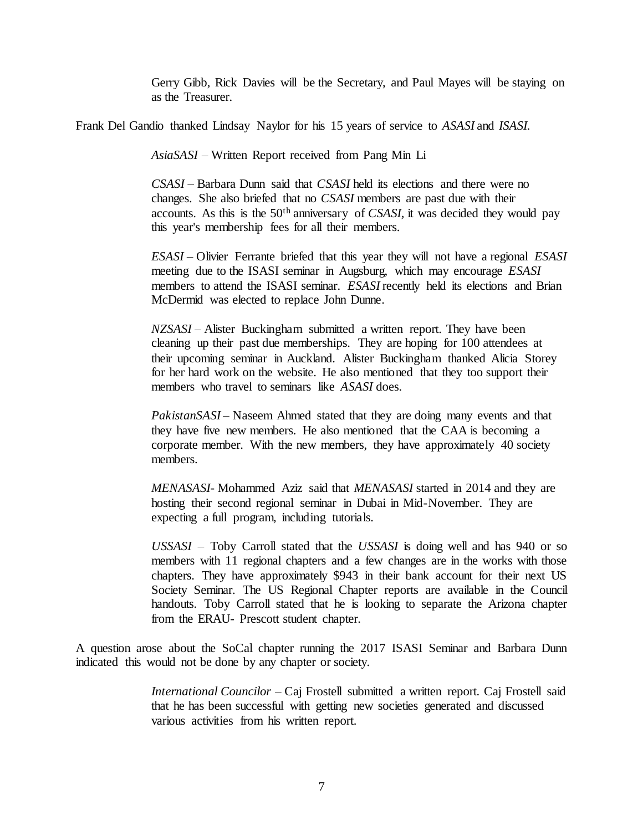Gerry Gibb, Rick Davies will be the Secretary, and Paul Mayes will be staying on as the Treasurer.

Frank Del Gandio thanked Lindsay Naylor for his 15 years of service to *ASASI* and *ISASI.*

*AsiaSASI* – Written Report received from Pang Min Li

*CSASI –* Barbara Dunn said that *CSASI* held its elections and there were no changes. She also briefed that no *CSASI* members are past due with their accounts. As this is the 50th anniversary of *CSASI,* it was decided they would pay this year's membership fees for all their members.

*ESASI –* Olivier Ferrante briefed that this year they will not have a regional *ESASI* meeting due to the ISASI seminar in Augsburg, which may encourage *ESASI* members to attend the ISASI seminar. *ESASI* recently held its elections and Brian McDermid was elected to replace John Dunne.

*NZSASI –* Alister Buckingham submitted a written report. They have been cleaning up their past due memberships. They are hoping for 100 attendees at their upcoming seminar in Auckland. Alister Buckingham thanked Alicia Storey for her hard work on the website. He also mentioned that they too support their members who travel to seminars like *ASASI* does.

*PakistanSASI* – Naseem Ahmed stated that they are doing many events and that they have five new members. He also mentioned that the CAA is becoming a corporate member. With the new members, they have approximately 40 society members.

*MENASASI*- Mohammed Aziz said that *MENASASI* started in 2014 and they are hosting their second regional seminar in Dubai in Mid-November. They are expecting a full program, including tutorials.

*USSASI* – Toby Carroll stated that the *USSASI* is doing well and has 940 or so members with 11 regional chapters and a few changes are in the works with those chapters. They have approximately \$943 in their bank account for their next US Society Seminar. The US Regional Chapter reports are available in the Council handouts. Toby Carroll stated that he is looking to separate the Arizona chapter from the ERAU- Prescott student chapter.

A question arose about the SoCal chapter running the 2017 ISASI Seminar and Barbara Dunn indicated this would not be done by any chapter or society.

> *International Councilor –* Caj Frostell submitted a written report. Caj Frostell said that he has been successful with getting new societies generated and discussed various activities from his written report.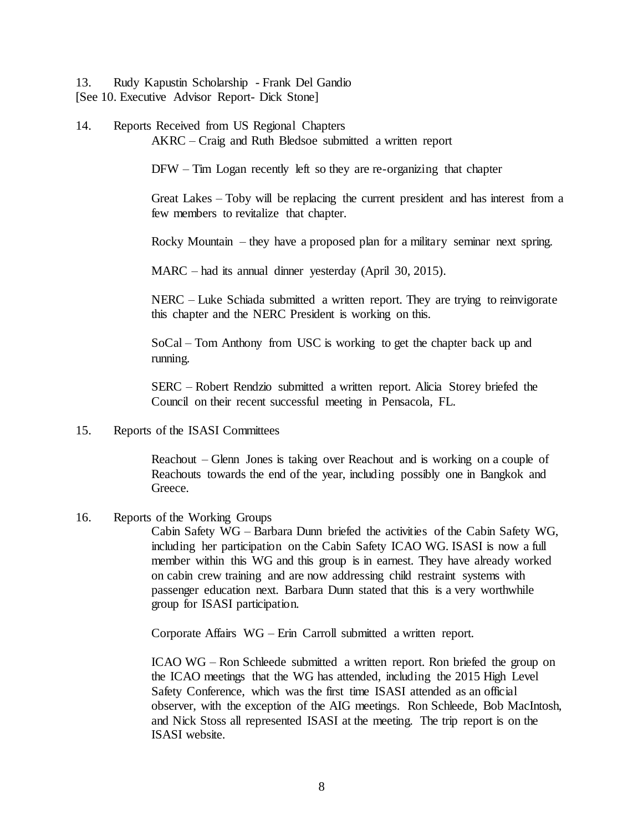13. Rudy Kapustin Scholarship - Frank Del Gandio [See 10. Executive Advisor Report- Dick Stone]

14. Reports Received from US Regional Chapters AKRC – Craig and Ruth Bledsoe submitted a written report

DFW – Tim Logan recently left so they are re-organizing that chapter

Great Lakes – Toby will be replacing the current president and has interest from a few members to revitalize that chapter.

Rocky Mountain – they have a proposed plan for a military seminar next spring.

MARC – had its annual dinner yesterday (April 30, 2015).

NERC – Luke Schiada submitted a written report. They are trying to reinvigorate this chapter and the NERC President is working on this.

SoCal – Tom Anthony from USC is working to get the chapter back up and running.

SERC – Robert Rendzio submitted a written report. Alicia Storey briefed the Council on their recent successful meeting in Pensacola, FL.

15. Reports of the ISASI Committees

Reachout – Glenn Jones is taking over Reachout and is working on a couple of Reachouts towards the end of the year, including possibly one in Bangkok and Greece.

16. Reports of the Working Groups

Cabin Safety WG – Barbara Dunn briefed the activities of the Cabin Safety WG, including her participation on the Cabin Safety ICAO WG. ISASI is now a full member within this WG and this group is in earnest. They have already worked on cabin crew training and are now addressing child restraint systems with passenger education next. Barbara Dunn stated that this is a very worthwhile group for ISASI participation.

Corporate Affairs WG – Erin Carroll submitted a written report.

ICAO WG – Ron Schleede submitted a written report. Ron briefed the group on the ICAO meetings that the WG has attended, including the 2015 High Level Safety Conference, which was the first time ISASI attended as an official observer, with the exception of the AIG meetings. Ron Schleede, Bob MacIntosh, and Nick Stoss all represented ISASI at the meeting. The trip report is on the ISASI website.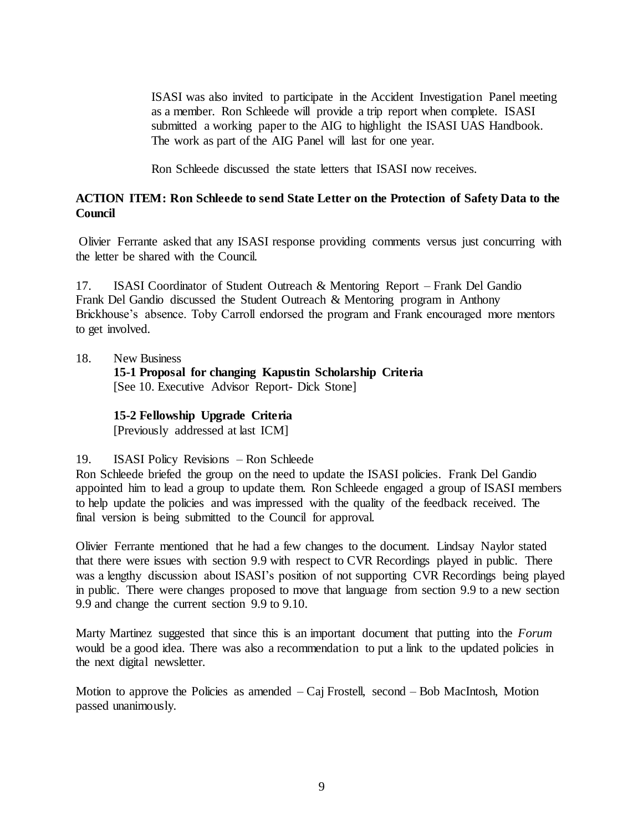ISASI was also invited to participate in the Accident Investigation Panel meeting as a member. Ron Schleede will provide a trip report when complete. ISASI submitted a working paper to the AIG to highlight the ISASI UAS Handbook. The work as part of the AIG Panel will last for one year.

Ron Schleede discussed the state letters that ISASI now receives.

# **ACTION ITEM: Ron Schleede to send State Letter on the Protection of Safety Data to the Council**

Olivier Ferrante asked that any ISASI response providing comments versus just concurring with the letter be shared with the Council.

17. ISASI Coordinator of Student Outreach & Mentoring Report – Frank Del Gandio Frank Del Gandio discussed the Student Outreach & Mentoring program in Anthony Brickhouse's absence. Toby Carroll endorsed the program and Frank encouraged more mentors to get involved.

18. New Business

**15-1 Proposal for changing Kapustin Scholarship Criteria** [See 10. Executive Advisor Report- Dick Stone]

### **15-2 Fellowship Upgrade Criteria**

[Previously addressed at last ICM]

### 19. ISASI Policy Revisions – Ron Schleede

Ron Schleede briefed the group on the need to update the ISASI policies. Frank Del Gandio appointed him to lead a group to update them. Ron Schleede engaged a group of ISASI members to help update the policies and was impressed with the quality of the feedback received. The final version is being submitted to the Council for approval.

Olivier Ferrante mentioned that he had a few changes to the document. Lindsay Naylor stated that there were issues with section 9.9 with respect to CVR Recordings played in public. There was a lengthy discussion about ISASI's position of not supporting CVR Recordings being played in public. There were changes proposed to move that language from section 9.9 to a new section 9.9 and change the current section 9.9 to 9.10.

Marty Martinez suggested that since this is an important document that putting into the *Forum* would be a good idea. There was also a recommendation to put a link to the updated policies in the next digital newsletter.

Motion to approve the Policies as amended  $-$  Caj Frostell, second  $-$  Bob MacIntosh, Motion passed unanimously.